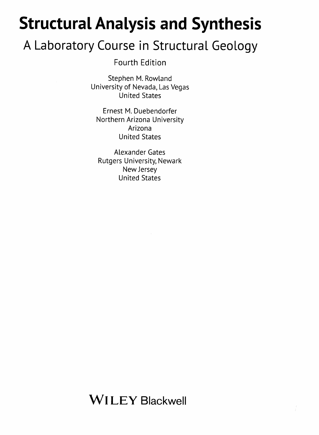## Structural Analysis and Synthesis

## A Laboratory Course in Structural Geology

Fourth Edition

Stephen M. Rowland University of Nevada, Las Vegas United States

Ernest M. Duebendorfer Northern Arizona University Arizona United States

Alexander Gates Rutgers University, Newark New Jersey United States

Wl LEY Blackwell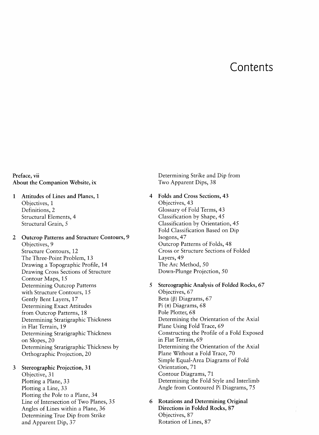## Contents

Preface, vii About the Companion Website, ix

- <sup>1</sup> Attitudes of Lines and Planes, <sup>1</sup> Objectives, 1 Definitions, 2 Structural Elements, 4 Structural Grain, 5
- <sup>2</sup> Outcrop Patterns and Structure Contours, 9 Objectives, 9 Structure Contours, 12 The Three-Point Problem, 13 Drawing <sup>a</sup> Topographic Profile, 14 Drawing Cross Sections of Structure Contour Maps, 15 Determining Outcrop Patterns with Structure Contours, 15 Gently Bent Layers, 17 Determining Exact Attitudes from Outcrop Patterns, 18 Determining Stratigraphic Thickness in Flat Terrain, 19 Determining Stratigraphic Thickness on Slopes, 20 Determining Stratigraphic Thickness by Orthographic Projection, 20
- <sup>3</sup> Stereographic Projection, 31 Objective, 31 Plotting a Plane, 33 Plotting <sup>a</sup> Line, 33 Plotting the Pole to <sup>a</sup> Plane, 34 Line of Intersection of Two Planes, 35 Angles of Lines within <sup>a</sup> Plane, 36 Determining True Dip from Strike and Apparent Dip, 37

Determining Strike and Dip from Two Apparent Dips, 38

- 4 Folds and Cross Sections, 43 Objectives, 43 Glossary of Fold Terms, 43 Classification by Shape, 45 Classification by Orientation, 45 Fold Classification Based on Dip Isogons, 47 Outcrop Patterns of Folds, 48 Cross or Structure Sections of Folded Layers, 49 The Arc Method, 50 Down-Plunge Projection, 50
- <sup>5</sup> Stereographic Analysis of Folded Rocks, 67 Objectives, 67 Beta  $(\beta)$  Diagrams, 67 Pi $(\pi)$  Diagrams, 68 Pole Plotter, 68 Determining the Orientation of the Axial Plane Using Fold Trace, 69 Constructing the Profile of <sup>a</sup> Fold Exposed in Flat Terrain, 69 Determining the Orientation of the Axial Plane Without <sup>a</sup> Fold Trace, 70 Simple Equal-Area Diagrams of Fold Orientation, 71 Contour Diagrams, 71 Determining the Fold Style and Interlimb Angle from Contoured Pi Diagrams, 75
- **Rotations and Determining Original** Directions in Folded Rocks, 87 Objectives, 87 Rotation of Lines, 87